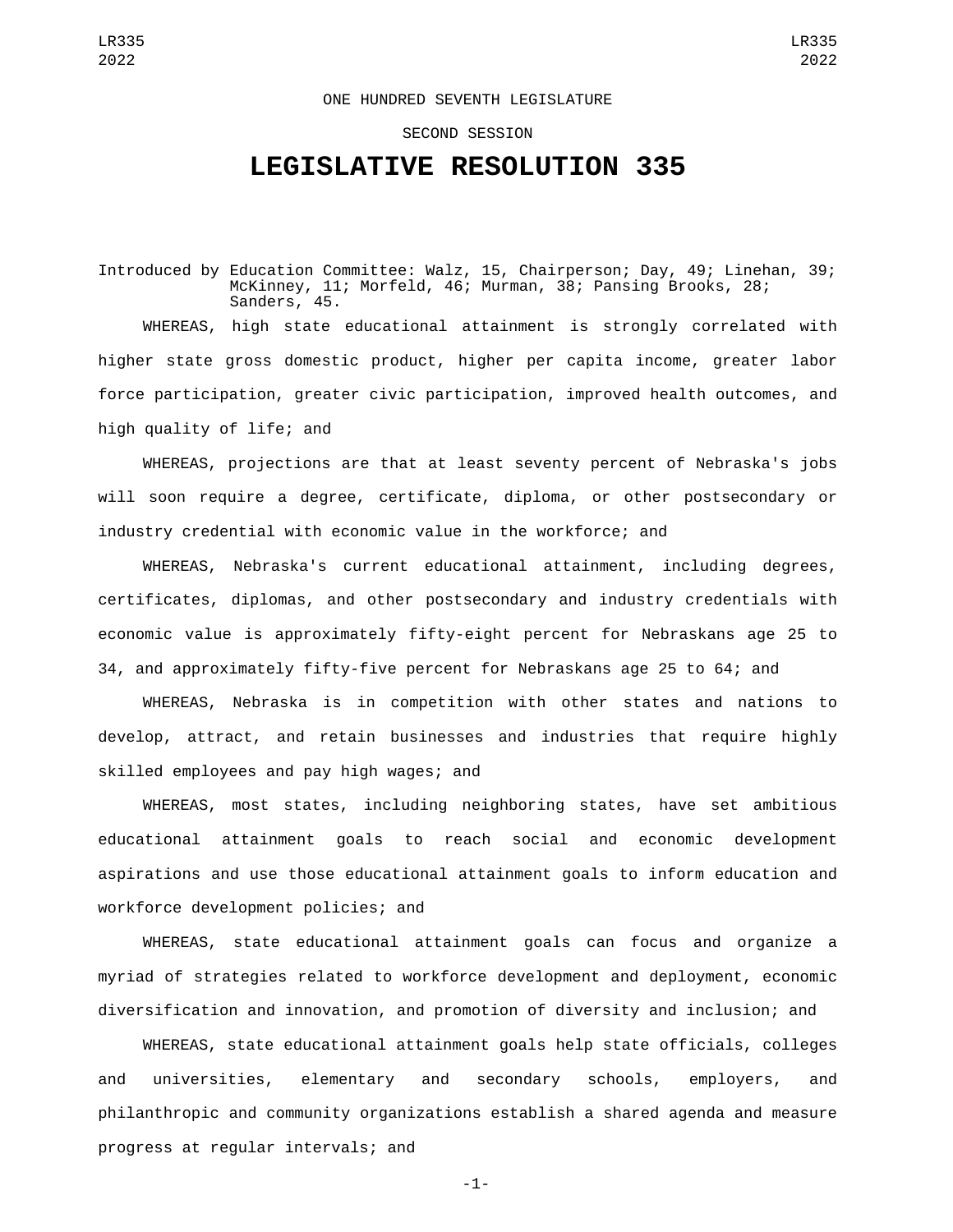## ONE HUNDRED SEVENTH LEGISLATURE

## SECOND SESSION

## **LEGISLATIVE RESOLUTION 335**

Introduced by Education Committee: Walz, 15, Chairperson; Day, 49; Linehan, 39; McKinney, 11; Morfeld, 46; Murman, 38; Pansing Brooks, 28; Sanders, 45.

WHEREAS, high state educational attainment is strongly correlated with higher state gross domestic product, higher per capita income, greater labor force participation, greater civic participation, improved health outcomes, and high quality of life; and

WHEREAS, projections are that at least seventy percent of Nebraska's jobs will soon require a degree, certificate, diploma, or other postsecondary or industry credential with economic value in the workforce; and

WHEREAS, Nebraska's current educational attainment, including degrees, certificates, diplomas, and other postsecondary and industry credentials with economic value is approximately fifty-eight percent for Nebraskans age 25 to 34, and approximately fifty-five percent for Nebraskans age 25 to 64; and

WHEREAS, Nebraska is in competition with other states and nations to develop, attract, and retain businesses and industries that require highly skilled employees and pay high wages; and

WHEREAS, most states, including neighboring states, have set ambitious educational attainment goals to reach social and economic development aspirations and use those educational attainment goals to inform education and workforce development policies; and

WHEREAS, state educational attainment goals can focus and organize a myriad of strategies related to workforce development and deployment, economic diversification and innovation, and promotion of diversity and inclusion; and

WHEREAS, state educational attainment goals help state officials, colleges and universities, elementary and secondary schools, employers, and philanthropic and community organizations establish a shared agenda and measure progress at regular intervals; and

-1-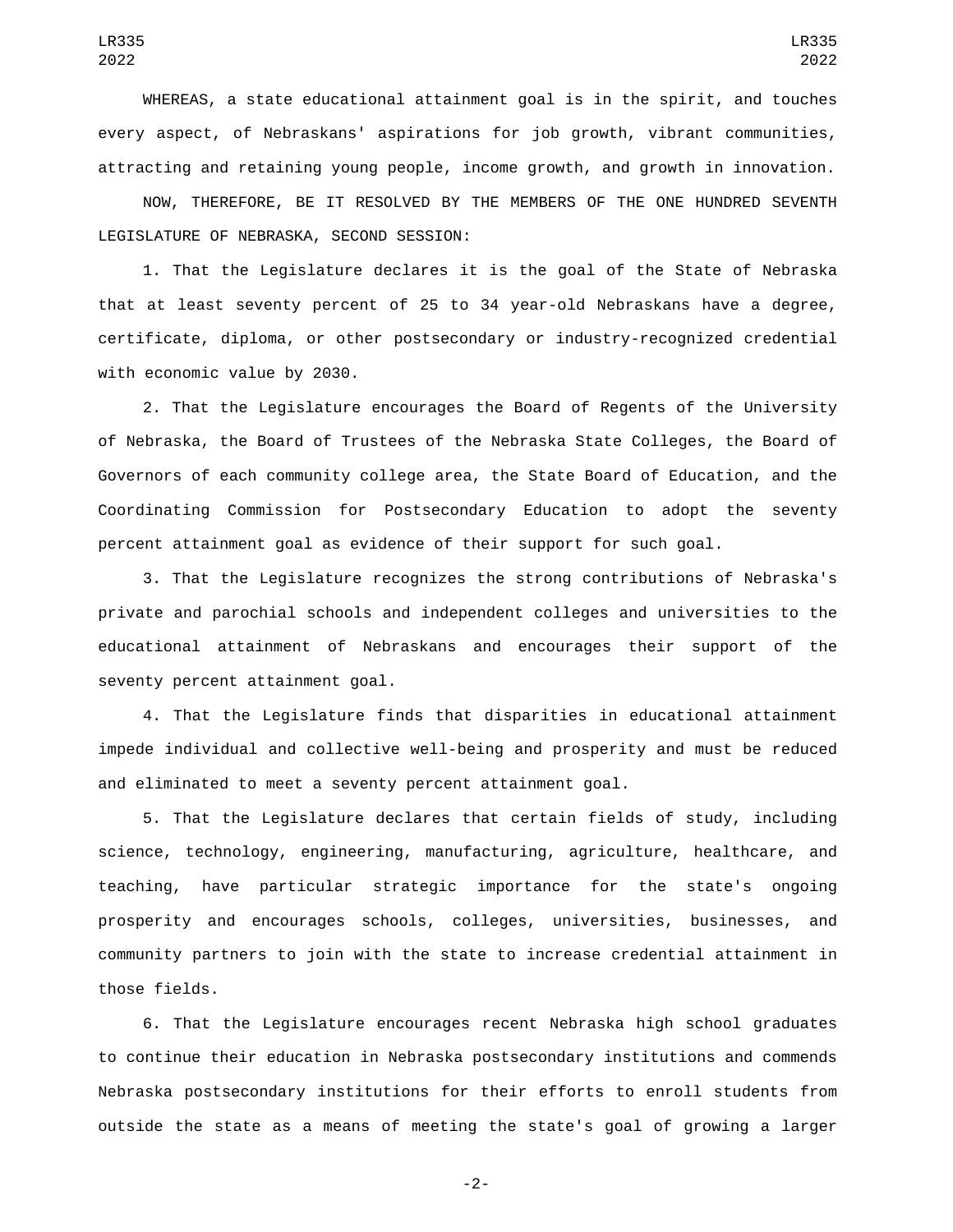WHEREAS, a state educational attainment goal is in the spirit, and touches every aspect, of Nebraskans' aspirations for job growth, vibrant communities, attracting and retaining young people, income growth, and growth in innovation.

NOW, THEREFORE, BE IT RESOLVED BY THE MEMBERS OF THE ONE HUNDRED SEVENTH LEGISLATURE OF NEBRASKA, SECOND SESSION:

1. That the Legislature declares it is the goal of the State of Nebraska that at least seventy percent of 25 to 34 year-old Nebraskans have a degree, certificate, diploma, or other postsecondary or industry-recognized credential with economic value by 2030.

2. That the Legislature encourages the Board of Regents of the University of Nebraska, the Board of Trustees of the Nebraska State Colleges, the Board of Governors of each community college area, the State Board of Education, and the Coordinating Commission for Postsecondary Education to adopt the seventy percent attainment goal as evidence of their support for such goal.

3. That the Legislature recognizes the strong contributions of Nebraska's private and parochial schools and independent colleges and universities to the educational attainment of Nebraskans and encourages their support of the seventy percent attainment goal.

4. That the Legislature finds that disparities in educational attainment impede individual and collective well-being and prosperity and must be reduced and eliminated to meet a seventy percent attainment goal.

5. That the Legislature declares that certain fields of study, including science, technology, engineering, manufacturing, agriculture, healthcare, and teaching, have particular strategic importance for the state's ongoing prosperity and encourages schools, colleges, universities, businesses, and community partners to join with the state to increase credential attainment in those fields.

6. That the Legislature encourages recent Nebraska high school graduates to continue their education in Nebraska postsecondary institutions and commends Nebraska postsecondary institutions for their efforts to enroll students from outside the state as a means of meeting the state's goal of growing a larger

LR335 2022

-2-